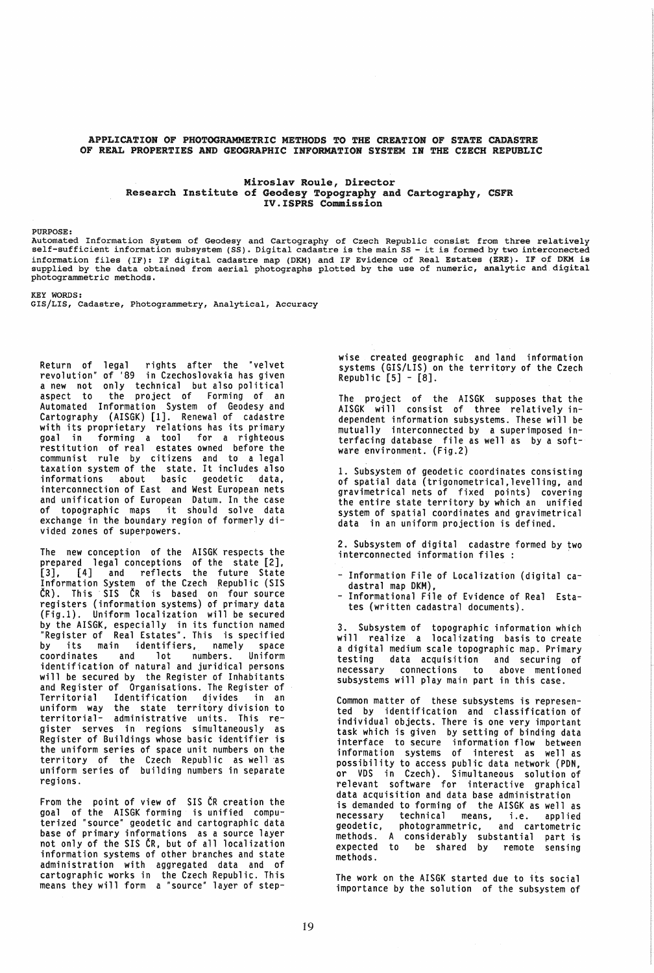APPLICATION OF PHOTOGRAMMETRIC METHODS TO THE CREATION OF STATE CADASTRE OF REAL PROPERTIES AND GEOGRAPHIC INFORMATION SYSTEM IN THE CZECH REPUBLIC

## Miroslav Roule, Director Research Institute of Geodesy Topography and Cartography, CSFR IV.ISPRS Commission

PURPOSE:<br>Automated Information System of Geodesy and Cartography of Czech Republic consist from three relatively Automated Information system of Geodesy and Cartography of Czech Republic consist from three relatively<br>self-sufficient information subsystem (SS). Digital cadastre is the main SS - it is formed by two interconected information files (IF): IF digital cadastre map (DKM) and IF Evidence of Real Estates (ERE). IF of DKM is<br>supplied by the data obtained from aerial photographs plotted by the use of numeric, analytic and digital photogrammetric methods.

KEY WORDS:

GIS/LIS, Cadastre, Photogrammetry, Analytical, Accuracy

Return of legal rights after the "velvet revolution" of '89 in Czechoslovakia has given a new not only technical but also political aspect to the project of Forming of an aspect to the project of Forming of an<br>Automated Information System of Geodesy and Cartography (AISGK) [1]. Renewal of cadastre with its proprietary relations has its primary<br>goal in forming a tool for a righteous in forming a tool for a righteous restitution of real estates owned before the communist rule by citizens and to a legal taxation system of the state. It includes also informations about basic geodetic data, interconnection of East and West European nets and unification of European Datum. In the case of topographic maps it should solve data exchange in the boundary region of formerly divided zones of superpowers.

The new conception of the AISGK respects the prepared legal conceptions of the state [2], [3], [4] and reflects the future State Information System of the Czech Republic (SIS CR). This· SIS CR is based on four source registers (information systems) of primary data (Fig.l). Uniform localization will be secured by the AISGK, especially in its function named "Register of Real Estates", This is specified by its main identifiers, namely space coordinates and lot numbers. Uniform coordinates and lot numbers. Uniform<br>identification of natural and juridical persons will be secured by the Register of Inhabitants and Register of Organisations. The Register of Identification divides uniform way the state territory division to territorial- administrative units. This register serves in regions simultaneously as Register of Buildings whose basic identifier is the uniform series of space unit numbers on the territory of the Czech Republic as well as uniform series of building numbers in separate regions.

From the point of view of SIS CR creation the goal of the AISGK forming is unified compu-<br>terized "source" geodetic and cartographic data base of primary informations as a source layer not only of the SIS CR, but of all localization information systems of other branches and state administration with aggregated data and of cartographic works in the Czech Republic. This means they will form a "source" layer of stepwise created geographic and land information systems (GIS/LIS) on the territory of the Czech Republic [5] - [8].

The project of the AISGK supposes that the AISGK will consist of three relatively independent information subsystems. These will be mutually interconnected by a superimposed interfacing database file as well as by a software environment. (Fig.2)

1. Subsystem of geodetic coordinates consisting of spatial data (trigonometrical.1evelling. and gravimetrical nets of fixed points) covering the entire state territory by which an unified system of spatial coordinates and gravimetrical data in an uniform projection is defined.

2. Subsystem of digital cadastre formed by two interconnected information files :

- Information File of Localization (digital cadastral map DKM),
- Informational File of Evidence of Real Estates (written cadastral documents).

3. Subsystem of topographic information which will realize a localizating basis to create a digital medium scale topographic map. Primary testing data acquisition and securing of necessary connections to above mentioned necessary connections to above mentioned<br>subsystems will play main part in this case.

Common matter of these subsystems is represented by identification and classification of individual objects. There is one very important task which is given by setting of binding data interface to secure information flow between information systems of interest as well as possibility to access public data network (PDN, or VDS in Czech). Simultaneous solution of relevant software for interactive graphical data acquisition and data base administration is demanded to forming of the AISGK as well as necessary technical means, i.e. applied geodetic, photogrammetric, and cartometric methods. A considerably substantial part is expected to be shared by remote sensing methods.

The work on the AISGK started due to its social importance by the solution of the subsystem of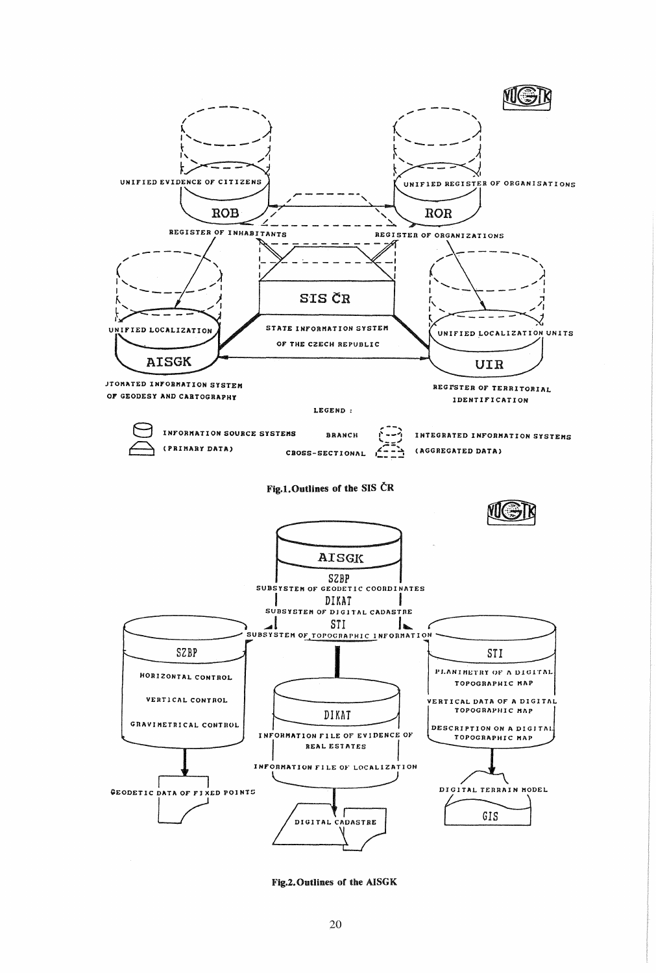

Fig.2. Outlines of the AISGK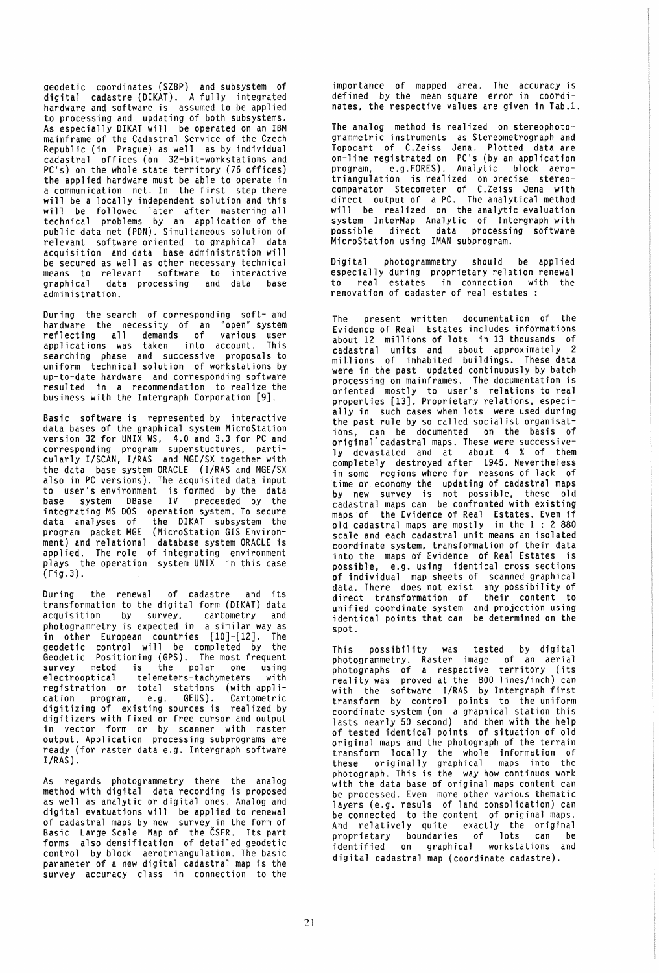geodetic coordinates (SZBP) and subsystem of digital cadastre (DIKAT). A fully integrated hardware and software is assumed to be applied to processing and updating of both subsystems. As especially DIKAT will be operated on an IBM mainframe of the Cadastral Service of the Czech Republic (in Prague) as well as by individual cadastral offices (on 32-bit-workstations and PC's) on the whole state territory (76 offices) the applied hardware must be able to operate in a communication net. In the first step there will be a locally independent solution and this will be followed later after mastering all technical problems by an application of the public data net (PDN). Simultaneous solution of relevant software oriented to graphical data acquisition and data base administration will be secured as well as other necessary technical means to relevant software to interactive graphical data processing and data base administration.

During the search of corresponding soft- and hardware the necessity of an "open" system reflecting all demands of various user applications was taken into account. This searching phase and successive proposals to uniform technical solution of workstations by up-to-date hardware and corresponding software resulted in a recommendation to realize the business with the Intergraph Corporation [9].

Basic software is represented by interactive data bases of the graphical system MicroStation version 32 for UNIX WS, 4.0 and 3.3 for PC and corresponding program superstuctures, particularly I/SCAN, I/RAS and MGE/SX together with the data base system ORACLE (I/RAS and MGE/SX also in PC versions). The acquisited data input to user's environment is formed by the data base system DBase IV preceeded by the integrating MS DOS operation system. To secure data analyses of the DIKAT subsystem the program packet MGE (MicroStation GIS Environment) and relational database system ORACLE is applied. The role of integrating environment plays the operation system UNIX in this case (Fig.3).

During the renewal of cadastre and its transformation to the digital form (DIKAT) data acquisition by survey, cartometry and photogrammetry is expected in a similar way as in other European countries [10]-[12]. The geodetic control will be completed by the Geodetic Positioning (GPS). The most frequent survey metod is the polar one using electrooptical telemeters-tachymeters with<br>electrooptical telemeters-tachymeters with registration or total stations (with application program, e.g. GEUS). Cartometric digitizing of existing sources is realized by digitizers with fixed or free cursor and output in vector form or by scanner with raster output. Application processing subprograms are ready (for raster data e.g. Intergraph software I/RAS).

As regards photogrammetry there the analog method with digital data recording is proposed as well as analytic or digital ones. Analog and digital evatuations will be applied to renewal of cadastral maps by new survey in the form of Basic Large Scale Map of the CSFR. Its part forms also densification of detailed geodetic control by block aerotriangulation. The basic parameter of a new digital cadastral map is the survey accuracy class in connection to the

importance of mapped area. The accuracy is defined by the mean square error in coordinates, the respective values are given in Tab.l.

The analog method is realized on stereophotogrammetric instruments as Stereometrograph and Topocart of C.Zeiss Jena. Plotted data are on-line registrated on PC's (by an application program, e.g.FORES). Analytic block aerotriangulation is realized on precise stereocomparator Stecometer of C.Zeiss Jena with direct output of a PC. The analytical method will be realized on the analytic evaluation system InterMap Analytic of Intergraph with possible direct data processing software MicroStation using IMAN subprogram.

Digital photogrammetry should be applied especially during proprietary relation renewal<br>to real estates in connection with the in connection with the renovation of cadaster of real estates

The present written documentation of the Evidence of Real Estates includes informations about 12 millions of lots in 13 thousands of cadastral units and about approximately 2 millions of inhabited buildings. These data were in the past updated continuously by batch processing on mainframes. The documentation is oriented mostly to user's relations to real properties [13]. Proprietary relations. especially in such cases when lots were used during the past rule by so called socialist organisations, can be documented on the basis of original"cadastral maps. These were successively devastated and at about 4 % of them completely destroyed after 1945. Nevertheless in some regions where for reasons of lack of time or economy the updating of cadastral maps by new survey is not possible. these old cadastral maps can be confronted with existing maps of the Evidence of Real Estates. Even if old cadastral maps are mostly in the 1 : 2 880 scale and each cadastral unit means an isolated coordinate system, transformation of their data into the maps of Evidence of Real Estates is possible, e.g. using identical cross sections of individual map sheets of scanned graphical data. There does not exist any possibility of direct transformation of their content to unified coordinate system and projection using identical points that can be determined on the spot.

This possibility was tested by digital photogrammetry. Raster image of an aerial photographs of a respective territory (its reality was proved at the 800 lines/inch) can with the software I/RAS by Intergraph first transform by control points to the uniform coordinate system (on a graphical station this lasts nearly 50 second) and then with the help of tested identical points of situation of old original maps and the photograph of the terrain transform locally the whole information of these originally graphical maps into the photograph. This is the way how continuos work with the data base of original maps content can be processed. Even more other various thematic layers (e.g. resuls of land consolidation) can be connected to the content of original maps. And relatively quite exactly the original proprietary boundaries of lots can be identified on graphical workstations and digital cadastral map (coordinate cadastre).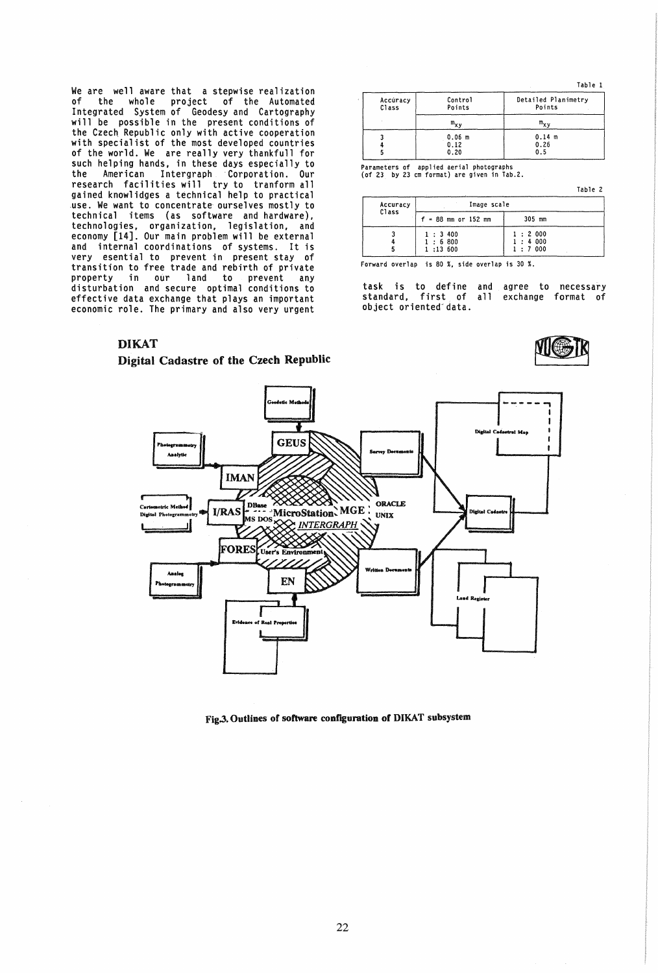We are well aware that a stepwise realization of of the whole project of the Automated<br>Integrated System of Geodesy and Cartography will be possible in the present conditions of the Czech Republic only with active cooperation<br>with specialist of the most developed countries of the world. We are really very thankfull for such helping hands, in these days especially to the American Intergraph Corporation. Our research facilities will try to tranform all gained knowlidges a technical help to practical use. We want to concentrate ourselves mostly to technical items (as software and hardware), technologies, organization, legislation, and<br>economy [14]. Our main problem will be external and internal coordinations of systems. It is very esential to prevent in present stay of transition to free trade and rebirth of private property in our land to prevent any<br>disturbation and secure optimal conditions to effective data exchange that plays an important economic role. The primary and also very urgent

|                   |                            | Table 1                       |
|-------------------|----------------------------|-------------------------------|
| Accúracy<br>Class | Control<br>Points          | Detailed Planimetry<br>Points |
|                   | $m_{\mathbf{x}\mathbf{v}}$ | $m_{x,v}$                     |
|                   | $0.06$ m<br>0.12<br>0.20   | 0.14 m<br>0.26<br>0.5         |

Parameters of applied aerial photographs<br>(of 23 by 23 cm format) are given in Tab.2.

Table 2

| Accuracy<br>Class | Image scale           |        |
|-------------------|-----------------------|--------|
|                   | $f = 88$ mm or 152 mm | 305 mm |
|                   | 1:3:400               | 1:2000 |
|                   | 1:6800                | 1:4000 |
|                   | 1:13:600              | 1:7000 |

Forward overlap is 80 %, side overlap is 30 %.

task is to define and agree to necessary<br>standard, first of all exchange format of object oriented data.

## **DIKAT**

## Digital Cadastre of the Czech Republic





Fig.3. Outlines of software configuration of DIKAT subsystem